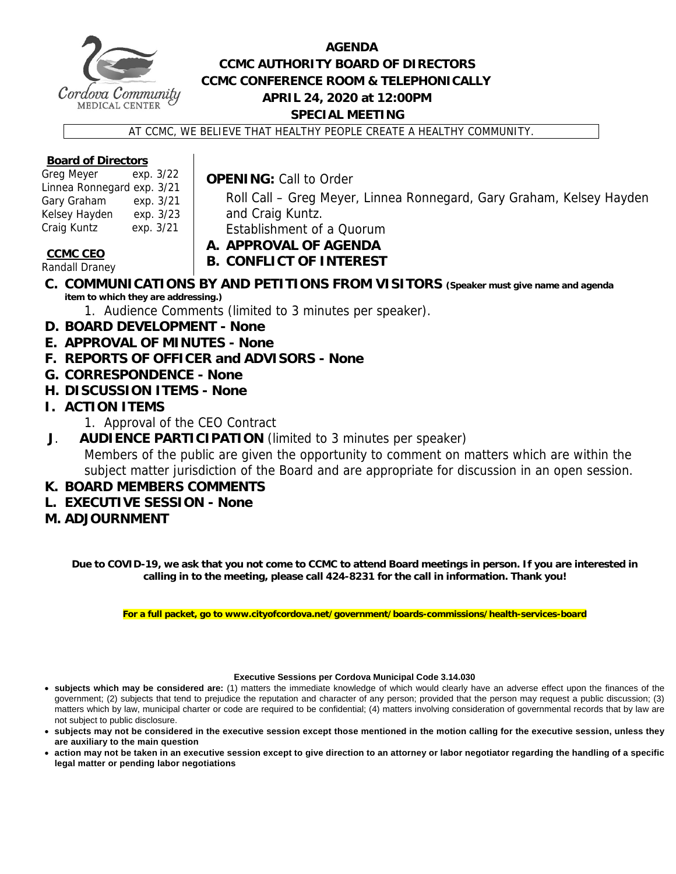

## **AGENDA CCMC AUTHORITY BOARD OF DIRECTORS CCMC CONFERENCE ROOM & TELEPHONICALLY APRIL 24, 2020 at 12:00PM SPECIAL MEETING**

AT CCMC, WE BELIEVE THAT HEALTHY PEOPLE CREATE A HEALTHY COMMUNITY.

## **Board of Directors**

| Greg Meyer                 | exp. 3/22 |  |
|----------------------------|-----------|--|
| Linnea Ronnegard exp. 3/21 |           |  |
| Gary Graham                | exp. 3/21 |  |
| Kelsey Hayden              | exp. 3/23 |  |
| Craig Kuntz                | exp. 3/21 |  |

**OPENING:** Call to Order

Roll Call – Greg Meyer, Linnea Ronnegard, Gary Graham, Kelsey Hayden and Craig Kuntz. Establishment of a Quorum

**CCMC CEO** 

**A. APPROVAL OF AGENDA** 

Randall Draney

- **B. CONFLICT OF INTEREST**
- **C. COMMUNICATIONS BY AND PETITIONS FROM VISITORS (Speaker must give name and agenda item to which they are addressing.)**
	- 1. Audience Comments (limited to 3 minutes per speaker).
- **D. BOARD DEVELOPMENT None**
- **E. APPROVAL OF MINUTES None**
- **F. REPORTS OF OFFICER and ADVISORS None**
- **G. CORRESPONDENCE None**
- **H. DISCUSSION ITEMS None**
- **I. ACTION ITEMS** 
	- 1. Approval of the CEO Contract
- **J**. **AUDIENCE PARTICIPATION** (limited to 3 minutes per speaker)

Members of the public are given the opportunity to comment on matters which are within the subject matter jurisdiction of the Board and are appropriate for discussion in an open session.

- **K. BOARD MEMBERS COMMENTS**
- **L. EXECUTIVE SESSION None**
- **M. ADJOURNMENT**

**Due to COVID-19, we ask that you not come to CCMC to attend Board meetings in person. If you are interested in calling in to the meeting, please call 424-8231 for the call in information. Thank you!** 

**For a full packet, go to www.cityofcordova.net/government/boards-commissions/health-services-board** 

## **Executive Sessions per Cordova Municipal Code 3.14.030**

- **subjects which may be considered are:** (1) matters the immediate knowledge of which would clearly have an adverse effect upon the finances of the government; (2) subjects that tend to prejudice the reputation and character of any person; provided that the person may request a public discussion; (3) matters which by law, municipal charter or code are required to be confidential; (4) matters involving consideration of governmental records that by law are not subject to public disclosure.
- **subjects may not be considered in the executive session except those mentioned in the motion calling for the executive session, unless they are auxiliary to the main question**
- **action may not be taken in an executive session except to give direction to an attorney or labor negotiator regarding the handling of a specific legal matter or pending labor negotiations**